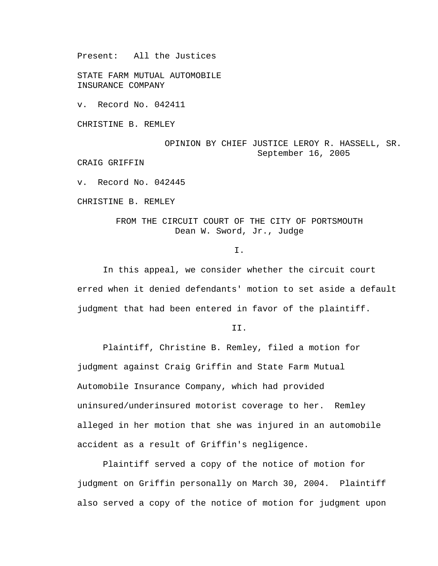Present: All the Justices

STATE FARM MUTUAL AUTOMOBILE INSURANCE COMPANY

v. Record No. 042411

CHRISTINE B. REMLEY

OPINION BY CHIEF JUSTICE LEROY R. HASSELL, SR. September 16, 2005

CRAIG GRIFFIN

v. Record No. 042445

CHRISTINE B. REMLEY

## FROM THE CIRCUIT COURT OF THE CITY OF PORTSMOUTH Dean W. Sword, Jr., Judge

I.

 In this appeal, we consider whether the circuit court erred when it denied defendants' motion to set aside a default judgment that had been entered in favor of the plaintiff.

II.

 Plaintiff, Christine B. Remley, filed a motion for judgment against Craig Griffin and State Farm Mutual Automobile Insurance Company, which had provided uninsured/underinsured motorist coverage to her. Remley alleged in her motion that she was injured in an automobile accident as a result of Griffin's negligence.

 Plaintiff served a copy of the notice of motion for judgment on Griffin personally on March 30, 2004. Plaintiff also served a copy of the notice of motion for judgment upon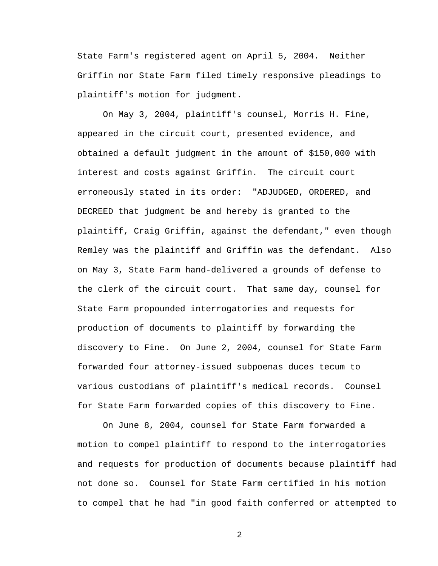State Farm's registered agent on April 5, 2004. Neither Griffin nor State Farm filed timely responsive pleadings to plaintiff's motion for judgment.

On May 3, 2004, plaintiff's counsel, Morris H. Fine, appeared in the circuit court, presented evidence, and obtained a default judgment in the amount of \$150,000 with interest and costs against Griffin. The circuit court erroneously stated in its order: "ADJUDGED, ORDERED, and DECREED that judgment be and hereby is granted to the plaintiff, Craig Griffin, against the defendant," even though Remley was the plaintiff and Griffin was the defendant. Also on May 3, State Farm hand-delivered a grounds of defense to the clerk of the circuit court. That same day, counsel for State Farm propounded interrogatories and requests for production of documents to plaintiff by forwarding the discovery to Fine. On June 2, 2004, counsel for State Farm forwarded four attorney-issued subpoenas duces tecum to various custodians of plaintiff's medical records. Counsel for State Farm forwarded copies of this discovery to Fine.

On June 8, 2004, counsel for State Farm forwarded a motion to compel plaintiff to respond to the interrogatories and requests for production of documents because plaintiff had not done so. Counsel for State Farm certified in his motion to compel that he had "in good faith conferred or attempted to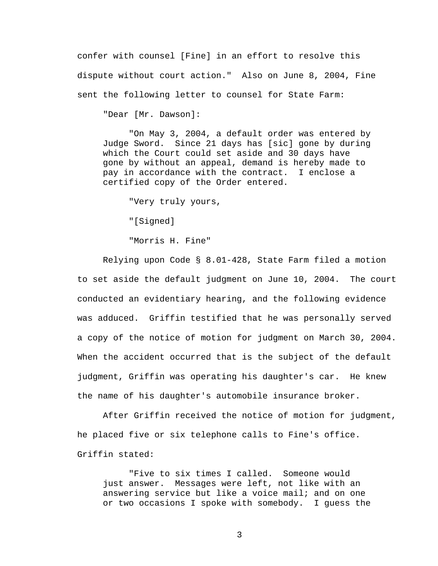confer with counsel [Fine] in an effort to resolve this dispute without court action." Also on June 8, 2004, Fine sent the following letter to counsel for State Farm:

"Dear [Mr. Dawson]:

 "On May 3, 2004, a default order was entered by Judge Sword. Since 21 days has [sic] gone by during which the Court could set aside and 30 days have gone by without an appeal, demand is hereby made to pay in accordance with the contract. I enclose a certified copy of the Order entered.

"Very truly yours,

"[Signed]

"Morris H. Fine"

 Relying upon Code § 8.01-428, State Farm filed a motion to set aside the default judgment on June 10, 2004. The court conducted an evidentiary hearing, and the following evidence was adduced. Griffin testified that he was personally served a copy of the notice of motion for judgment on March 30, 2004. When the accident occurred that is the subject of the default judgment, Griffin was operating his daughter's car. He knew the name of his daughter's automobile insurance broker.

 After Griffin received the notice of motion for judgment, he placed five or six telephone calls to Fine's office. Griffin stated:

"Five to six times I called. Someone would just answer. Messages were left, not like with an answering service but like a voice mail; and on one or two occasions I spoke with somebody. I guess the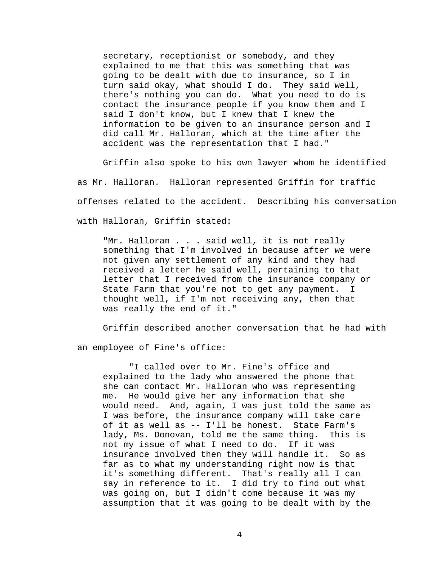secretary, receptionist or somebody, and they explained to me that this was something that was going to be dealt with due to insurance, so I in turn said okay, what should I do. They said well, there's nothing you can do. What you need to do is contact the insurance people if you know them and I said I don't know, but I knew that I knew the information to be given to an insurance person and I did call Mr. Halloran, which at the time after the accident was the representation that I had."

 Griffin also spoke to his own lawyer whom he identified as Mr. Halloran. Halloran represented Griffin for traffic offenses related to the accident. Describing his conversation with Halloran, Griffin stated:

"Mr. Halloran . . . said well, it is not really something that I'm involved in because after we were not given any settlement of any kind and they had received a letter he said well, pertaining to that letter that I received from the insurance company or State Farm that you're not to get any payment. I thought well, if I'm not receiving any, then that was really the end of it."

Griffin described another conversation that he had with

an employee of Fine's office:

"I called over to Mr. Fine's office and explained to the lady who answered the phone that she can contact Mr. Halloran who was representing me. He would give her any information that she would need. And, again, I was just told the same as I was before, the insurance company will take care of it as well as -- I'll be honest. State Farm's lady, Ms. Donovan, told me the same thing. This is not my issue of what I need to do. If it was insurance involved then they will handle it. So as far as to what my understanding right now is that it's something different. That's really all I can say in reference to it. I did try to find out what was going on, but I didn't come because it was my assumption that it was going to be dealt with by the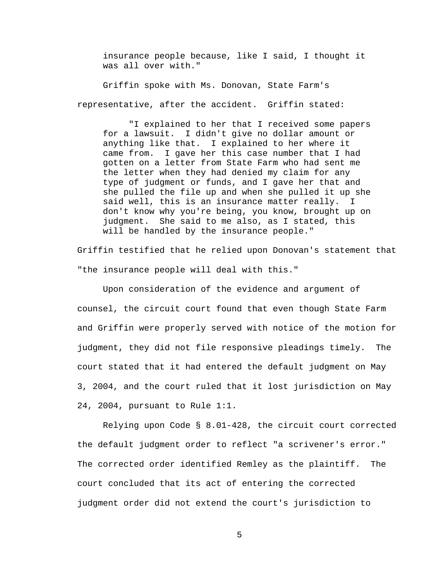insurance people because, like I said, I thought it was all over with."

 Griffin spoke with Ms. Donovan, State Farm's representative, after the accident. Griffin stated:

"I explained to her that I received some papers for a lawsuit. I didn't give no dollar amount or anything like that. I explained to her where it came from. I gave her this case number that I had gotten on a letter from State Farm who had sent me the letter when they had denied my claim for any type of judgment or funds, and I gave her that and she pulled the file up and when she pulled it up she said well, this is an insurance matter really. I don't know why you're being, you know, brought up on judgment. She said to me also, as I stated, this will be handled by the insurance people."

Griffin testified that he relied upon Donovan's statement that "the insurance people will deal with this."

Upon consideration of the evidence and argument of counsel, the circuit court found that even though State Farm and Griffin were properly served with notice of the motion for judgment, they did not file responsive pleadings timely. The court stated that it had entered the default judgment on May 3, 2004, and the court ruled that it lost jurisdiction on May 24, 2004, pursuant to Rule 1:1.

Relying upon Code § 8.01-428, the circuit court corrected the default judgment order to reflect "a scrivener's error." The corrected order identified Remley as the plaintiff. The court concluded that its act of entering the corrected judgment order did not extend the court's jurisdiction to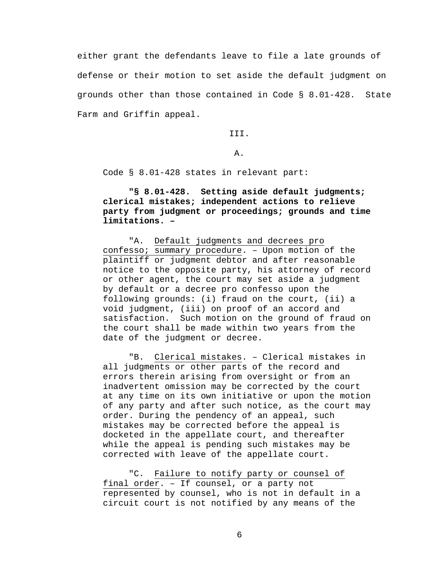either grant the defendants leave to file a late grounds of defense or their motion to set aside the default judgment on grounds other than those contained in Code § 8.01-428. State Farm and Griffin appeal.

III.

A.

Code § 8.01-428 states in relevant part:

 **"§ 8.01-428. Setting aside default judgments; clerical mistakes; independent actions to relieve party from judgment or proceedings; grounds and time limitations. –** 

"A. Default judgments and decrees pro confesso; summary procedure. – Upon motion of the plaintiff or judgment debtor and after reasonable notice to the opposite party, his attorney of record or other agent, the court may set aside a judgment by default or a decree pro confesso upon the following grounds: (i) fraud on the court, (ii) a void judgment, (iii) on proof of an accord and satisfaction. Such motion on the ground of fraud on the court shall be made within two years from the date of the judgment or decree.

 "B. Clerical mistakes. – Clerical mistakes in all judgments or other parts of the record and errors therein arising from oversight or from an inadvertent omission may be corrected by the court at any time on its own initiative or upon the motion of any party and after such notice, as the court may order. During the pendency of an appeal, such mistakes may be corrected before the appeal is docketed in the appellate court, and thereafter while the appeal is pending such mistakes may be corrected with leave of the appellate court.

 "C. Failure to notify party or counsel of final order. – If counsel, or a party not represented by counsel, who is not in default in a circuit court is not notified by any means of the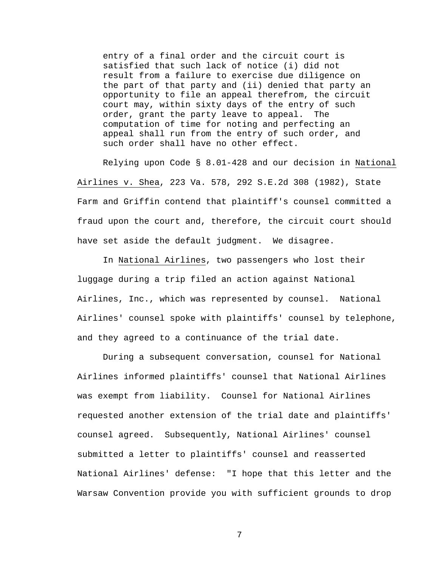entry of a final order and the circuit court is satisfied that such lack of notice (i) did not result from a failure to exercise due diligence on the part of that party and (ii) denied that party an opportunity to file an appeal therefrom, the circuit court may, within sixty days of the entry of such order, grant the party leave to appeal. The computation of time for noting and perfecting an appeal shall run from the entry of such order, and such order shall have no other effect.

 Relying upon Code § 8.01-428 and our decision in National Airlines v. Shea, 223 Va. 578, 292 S.E.2d 308 (1982), State Farm and Griffin contend that plaintiff's counsel committed a fraud upon the court and, therefore, the circuit court should have set aside the default judgment. We disagree.

In National Airlines, two passengers who lost their luggage during a trip filed an action against National Airlines, Inc., which was represented by counsel. National Airlines' counsel spoke with plaintiffs' counsel by telephone, and they agreed to a continuance of the trial date.

 During a subsequent conversation, counsel for National Airlines informed plaintiffs' counsel that National Airlines was exempt from liability. Counsel for National Airlines requested another extension of the trial date and plaintiffs' counsel agreed. Subsequently, National Airlines' counsel submitted a letter to plaintiffs' counsel and reasserted National Airlines' defense: "I hope that this letter and the Warsaw Convention provide you with sufficient grounds to drop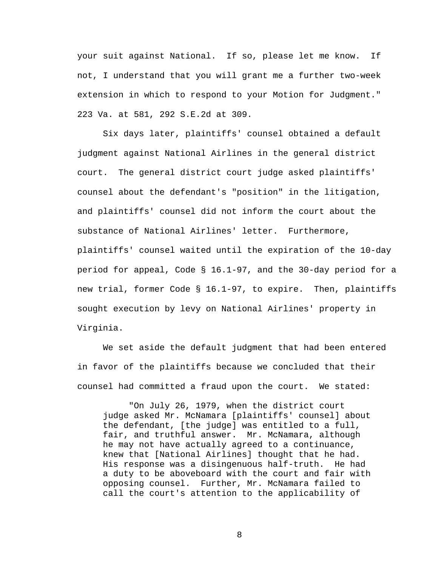your suit against National. If so, please let me know. If not, I understand that you will grant me a further two-week extension in which to respond to your Motion for Judgment." 223 Va. at 581, 292 S.E.2d at 309.

 Six days later, plaintiffs' counsel obtained a default judgment against National Airlines in the general district court. The general district court judge asked plaintiffs' counsel about the defendant's "position" in the litigation, and plaintiffs' counsel did not inform the court about the substance of National Airlines' letter. Furthermore, plaintiffs' counsel waited until the expiration of the 10-day period for appeal, Code § 16.1-97, and the 30-day period for a new trial, former Code § 16.1-97, to expire. Then, plaintiffs sought execution by levy on National Airlines' property in Virginia.

We set aside the default judgment that had been entered in favor of the plaintiffs because we concluded that their counsel had committed a fraud upon the court. We stated:

 "On July 26, 1979, when the district court judge asked Mr. McNamara [plaintiffs' counsel] about the defendant, [the judge] was entitled to a full, fair, and truthful answer. Mr. McNamara, although he may not have actually agreed to a continuance, knew that [National Airlines] thought that he had. His response was a disingenuous half-truth. He had a duty to be aboveboard with the court and fair with opposing counsel. Further, Mr. McNamara failed to call the court's attention to the applicability of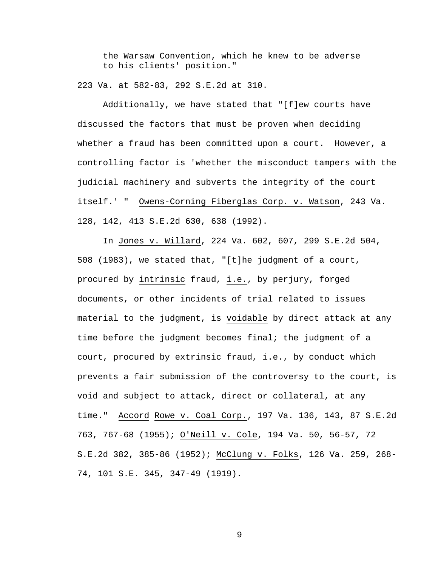the Warsaw Convention, which he knew to be adverse to his clients' position."

223 Va. at 582-83, 292 S.E.2d at 310.

Additionally, we have stated that "[f]ew courts have discussed the factors that must be proven when deciding whether a fraud has been committed upon a court. However, a controlling factor is 'whether the misconduct tampers with the judicial machinery and subverts the integrity of the court itself.' " Owens-Corning Fiberglas Corp. v. Watson, 243 Va. 128, 142, 413 S.E.2d 630, 638 (1992).

 In Jones v. Willard, 224 Va. 602, 607, 299 S.E.2d 504, 508 (1983), we stated that, "[t]he judgment of a court, procured by intrinsic fraud, i.e., by perjury, forged documents, or other incidents of trial related to issues material to the judgment, is voidable by direct attack at any time before the judgment becomes final; the judgment of a court, procured by extrinsic fraud, i.e., by conduct which prevents a fair submission of the controversy to the court, is void and subject to attack, direct or collateral, at any time." Accord Rowe v. Coal Corp., 197 Va. 136, 143, 87 S.E.2d 763, 767-68 (1955); O'Neill v. Cole, 194 Va. 50, 56-57, 72 S.E.2d 382, 385-86 (1952); McClung v. Folks, 126 Va. 259, 268- 74, 101 S.E. 345, 347-49 (1919).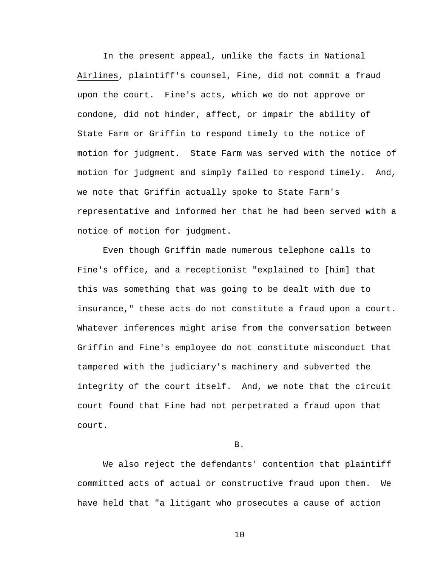In the present appeal, unlike the facts in National Airlines, plaintiff's counsel, Fine, did not commit a fraud upon the court. Fine's acts, which we do not approve or condone, did not hinder, affect, or impair the ability of State Farm or Griffin to respond timely to the notice of motion for judgment. State Farm was served with the notice of motion for judgment and simply failed to respond timely. And, we note that Griffin actually spoke to State Farm's representative and informed her that he had been served with a notice of motion for judgment.

 Even though Griffin made numerous telephone calls to Fine's office, and a receptionist "explained to [him] that this was something that was going to be dealt with due to insurance," these acts do not constitute a fraud upon a court. Whatever inferences might arise from the conversation between Griffin and Fine's employee do not constitute misconduct that tampered with the judiciary's machinery and subverted the integrity of the court itself. And, we note that the circuit court found that Fine had not perpetrated a fraud upon that court.

B.

 We also reject the defendants' contention that plaintiff committed acts of actual or constructive fraud upon them. We have held that "a litigant who prosecutes a cause of action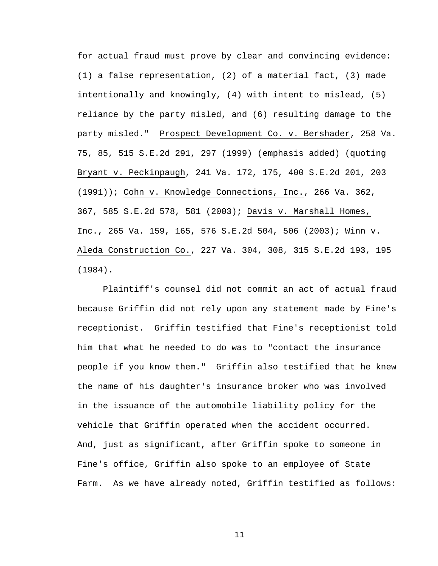for actual fraud must prove by clear and convincing evidence: (1) a false representation, (2) of a material fact, (3) made intentionally and knowingly, (4) with intent to mislead, (5) reliance by the party misled, and (6) resulting damage to the party misled." Prospect Development Co. v. Bershader, 258 Va. 75, 85, 515 S.E.2d 291, 297 (1999) (emphasis added) (quoting Bryant v. Peckinpaugh, 241 Va. 172, 175, 400 S.E.2d 201, 203 (1991)); Cohn v. Knowledge Connections, Inc., 266 Va. 362, 367, 585 S.E.2d 578, 581 (2003); Davis v. Marshall Homes, Inc., 265 Va. 159, 165, 576 S.E.2d 504, 506 (2003); Winn v. Aleda Construction Co., 227 Va. 304, 308, 315 S.E.2d 193, 195 (1984).

Plaintiff's counsel did not commit an act of actual fraud because Griffin did not rely upon any statement made by Fine's receptionist. Griffin testified that Fine's receptionist told him that what he needed to do was to "contact the insurance people if you know them." Griffin also testified that he knew the name of his daughter's insurance broker who was involved in the issuance of the automobile liability policy for the vehicle that Griffin operated when the accident occurred. And, just as significant, after Griffin spoke to someone in Fine's office, Griffin also spoke to an employee of State Farm. As we have already noted, Griffin testified as follows: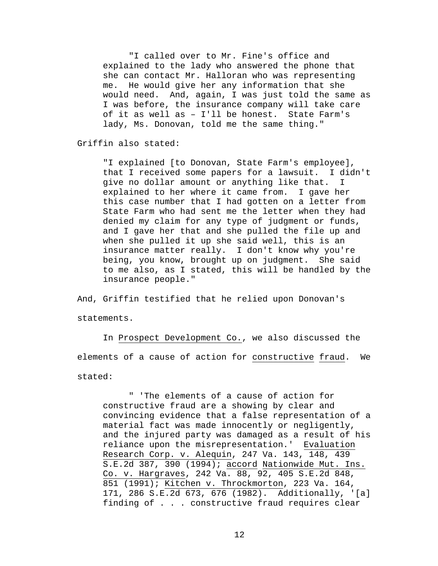"I called over to Mr. Fine's office and explained to the lady who answered the phone that she can contact Mr. Halloran who was representing me. He would give her any information that she would need. And, again, I was just told the same as I was before, the insurance company will take care of it as well as – I'll be honest. State Farm's lady, Ms. Donovan, told me the same thing."

Griffin also stated:

"I explained [to Donovan, State Farm's employee], that I received some papers for a lawsuit. I didn't give no dollar amount or anything like that. I explained to her where it came from. I gave her this case number that I had gotten on a letter from State Farm who had sent me the letter when they had denied my claim for any type of judgment or funds, and I gave her that and she pulled the file up and when she pulled it up she said well, this is an insurance matter really. I don't know why you're being, you know, brought up on judgment. She said to me also, as I stated, this will be handled by the insurance people."

And, Griffin testified that he relied upon Donovan's statements.

 In Prospect Development Co., we also discussed the elements of a cause of action for constructive fraud. We stated:

 " 'The elements of a cause of action for constructive fraud are a showing by clear and convincing evidence that a false representation of a material fact was made innocently or negligently, and the injured party was damaged as a result of his reliance upon the misrepresentation.' Evaluation Research Corp. v. Alequin, 247 Va. 143, 148, 439 S.E.2d 387, 390 (1994); accord Nationwide Mut. Ins. Co. v. Hargraves, 242 Va. 88, 92, 405 S.E.2d 848, 851 (1991); Kitchen v. Throckmorton, 223 Va. 164, 171, 286 S.E.2d 673, 676 (1982). Additionally, '[a] finding of . . . constructive fraud requires clear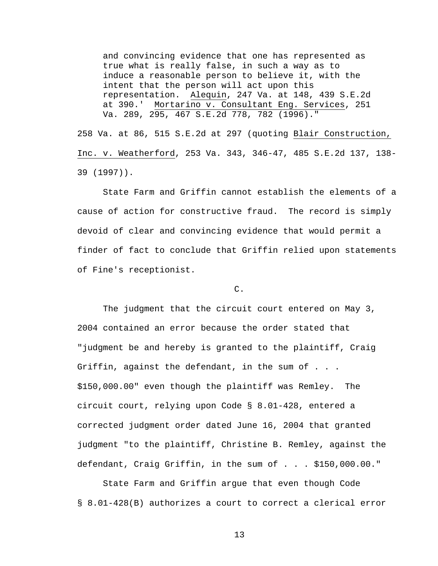and convincing evidence that one has represented as true what is really false, in such a way as to induce a reasonable person to believe it, with the intent that the person will act upon this representation. Alequin, 247 Va. at 148, 439 S.E.2d at 390.' Mortarino v. Consultant Eng. Services, 251 Va. 289, 295, 467 S.E.2d 778, 782 (1996)."

258 Va. at 86, 515 S.E.2d at 297 (quoting Blair Construction, Inc. v. Weatherford, 253 Va. 343, 346-47, 485 S.E.2d 137, 138- 39 (1997)).

 State Farm and Griffin cannot establish the elements of a cause of action for constructive fraud. The record is simply devoid of clear and convincing evidence that would permit a finder of fact to conclude that Griffin relied upon statements of Fine's receptionist.

### C.

 The judgment that the circuit court entered on May 3, 2004 contained an error because the order stated that "judgment be and hereby is granted to the plaintiff, Craig Griffin, against the defendant, in the sum of . . . \$150,000.00" even though the plaintiff was Remley. The circuit court, relying upon Code § 8.01-428, entered a corrected judgment order dated June 16, 2004 that granted judgment "to the plaintiff, Christine B. Remley, against the defendant, Craig Griffin, in the sum of . . . \$150,000.00."

State Farm and Griffin argue that even though Code § 8.01-428(B) authorizes a court to correct a clerical error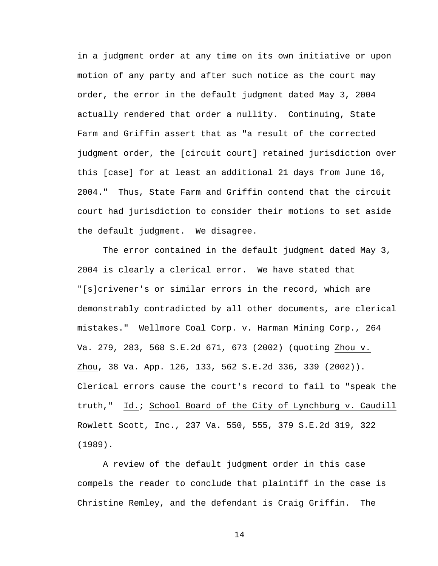in a judgment order at any time on its own initiative or upon motion of any party and after such notice as the court may order, the error in the default judgment dated May 3, 2004 actually rendered that order a nullity. Continuing, State Farm and Griffin assert that as "a result of the corrected judgment order, the [circuit court] retained jurisdiction over this [case] for at least an additional 21 days from June 16, 2004." Thus, State Farm and Griffin contend that the circuit court had jurisdiction to consider their motions to set aside the default judgment. We disagree.

 The error contained in the default judgment dated May 3, 2004 is clearly a clerical error. We have stated that "[s]crivener's or similar errors in the record, which are demonstrably contradicted by all other documents, are clerical mistakes." Wellmore Coal Corp. v. Harman Mining Corp., 264 Va. 279, 283, 568 S.E.2d 671, 673 (2002) (quoting Zhou v. Zhou, 38 Va. App. 126, 133, 562 S.E.2d 336, 339 (2002)). Clerical errors cause the court's record to fail to "speak the truth," Id.; School Board of the City of Lynchburg v. Caudill Rowlett Scott, Inc., 237 Va. 550, 555, 379 S.E.2d 319, 322 (1989).

 A review of the default judgment order in this case compels the reader to conclude that plaintiff in the case is Christine Remley, and the defendant is Craig Griffin. The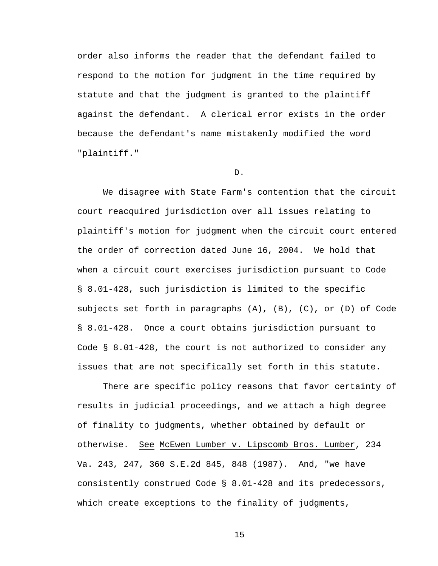order also informs the reader that the defendant failed to respond to the motion for judgment in the time required by statute and that the judgment is granted to the plaintiff against the defendant. A clerical error exists in the order because the defendant's name mistakenly modified the word "plaintiff."

### D.

 We disagree with State Farm's contention that the circuit court reacquired jurisdiction over all issues relating to plaintiff's motion for judgment when the circuit court entered the order of correction dated June 16, 2004. We hold that when a circuit court exercises jurisdiction pursuant to Code § 8.01-428, such jurisdiction is limited to the specific subjects set forth in paragraphs (A), (B), (C), or (D) of Code § 8.01-428. Once a court obtains jurisdiction pursuant to Code § 8.01-428, the court is not authorized to consider any issues that are not specifically set forth in this statute.

There are specific policy reasons that favor certainty of results in judicial proceedings, and we attach a high degree of finality to judgments, whether obtained by default or otherwise. See McEwen Lumber v. Lipscomb Bros. Lumber, 234 Va. 243, 247, 360 S.E.2d 845, 848 (1987). And, "we have consistently construed Code § 8.01-428 and its predecessors, which create exceptions to the finality of judgments,